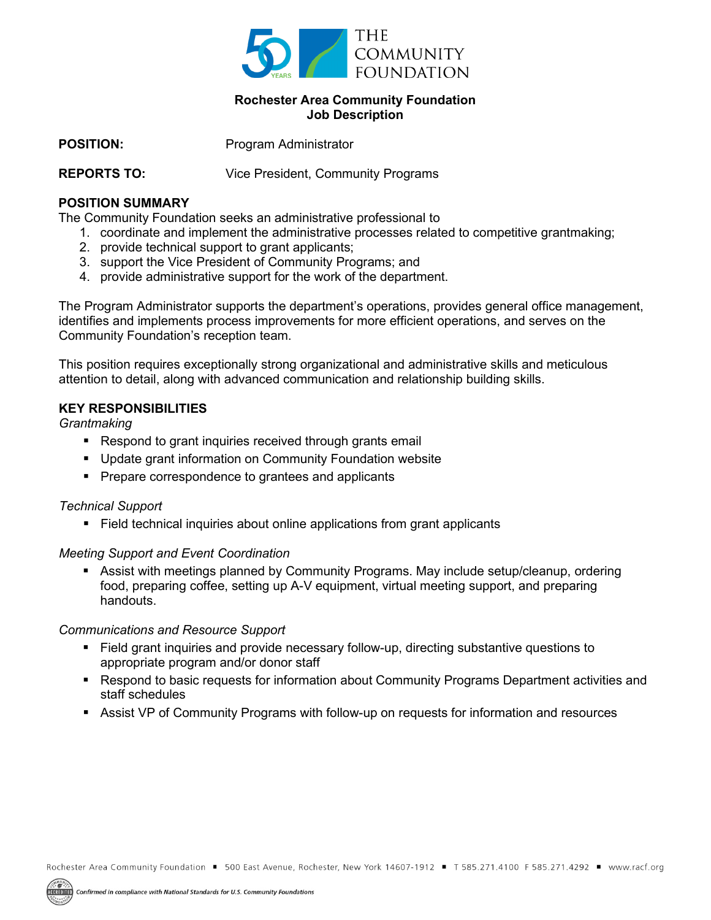

# **Rochester Area Community Foundation Job Description**

**POSITION:** Program Administrator

**REPORTS TO:** Vice President, Community Programs

### **POSITION SUMMARY**

The Community Foundation seeks an administrative professional to

- 1. coordinate and implement the administrative processes related to competitive grantmaking;
- 2. provide technical support to grant applicants;
- 3. support the Vice President of Community Programs; and
- 4. provide administrative support for the work of the department.

The Program Administrator supports the department's operations, provides general office management, identifies and implements process improvements for more efficient operations, and serves on the Community Foundation's reception team.

This position requires exceptionally strong organizational and administrative skills and meticulous attention to detail, along with advanced communication and relationship building skills.

## **KEY RESPONSIBILITIES**

*Grantmaking*

- Respond to grant inquiries received through grants email
- Update grant information on Community Foundation website
- Prepare correspondence to grantees and applicants

#### *Technical Support*

■ Field technical inquiries about online applications from grant applicants

#### *Meeting Support and Event Coordination*

■ Assist with meetings planned by Community Programs. May include setup/cleanup, ordering food, preparing coffee, setting up A-V equipment, virtual meeting support, and preparing handouts.

#### *Communications and Resource Support*

- Field grant inquiries and provide necessary follow-up, directing substantive questions to appropriate program and/or donor staff
- Respond to basic requests for information about Community Programs Department activities and staff schedules
- Assist VP of Community Programs with follow-up on requests for information and resources